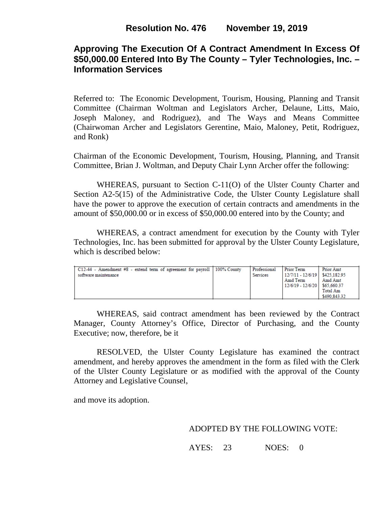# **Approving The Execution Of A Contract Amendment In Excess Of \$50,000.00 Entered Into By The County – Tyler Technologies, Inc. – Information Services**

Referred to: The Economic Development, Tourism, Housing, Planning and Transit Committee (Chairman Woltman and Legislators Archer, Delaune, Litts, Maio, Joseph Maloney, and Rodriguez), and The Ways and Means Committee (Chairwoman Archer and Legislators Gerentine, Maio, Maloney, Petit, Rodriguez, and Ronk)

Chairman of the Economic Development, Tourism, Housing, Planning, and Transit Committee, Brian J. Woltman, and Deputy Chair Lynn Archer offer the following:

WHEREAS, pursuant to Section C-11(O) of the Ulster County Charter and Section A2-5(15) of the Administrative Code, the Ulster County Legislature shall have the power to approve the execution of certain contracts and amendments in the amount of \$50,000.00 or in excess of \$50,000.00 entered into by the County; and

WHEREAS, a contract amendment for execution by the County with Tyler Technologies, Inc. has been submitted for approval by the Ulster County Legislature, which is described below:

| $C12-44$ - Amendment #8 - extend term of agreement for payroll   100% County<br>software maintenance |  | Professional<br>Services | Prior Term<br>$12/7/11 - 12/6/19$ \$425.182.95<br>Amd Term<br>12/6/19 - 12/6/20   \$65.660.37 | Prior Amt<br>Amd Amt<br>Total Am<br>\$490,843.32 |
|------------------------------------------------------------------------------------------------------|--|--------------------------|-----------------------------------------------------------------------------------------------|--------------------------------------------------|
|------------------------------------------------------------------------------------------------------|--|--------------------------|-----------------------------------------------------------------------------------------------|--------------------------------------------------|

WHEREAS, said contract amendment has been reviewed by the Contract Manager, County Attorney's Office, Director of Purchasing, and the County Executive; now, therefore, be it

RESOLVED, the Ulster County Legislature has examined the contract amendment, and hereby approves the amendment in the form as filed with the Clerk of the Ulster County Legislature or as modified with the approval of the County Attorney and Legislative Counsel,

and move its adoption.

### ADOPTED BY THE FOLLOWING VOTE:

AYES: 23 NOES: 0